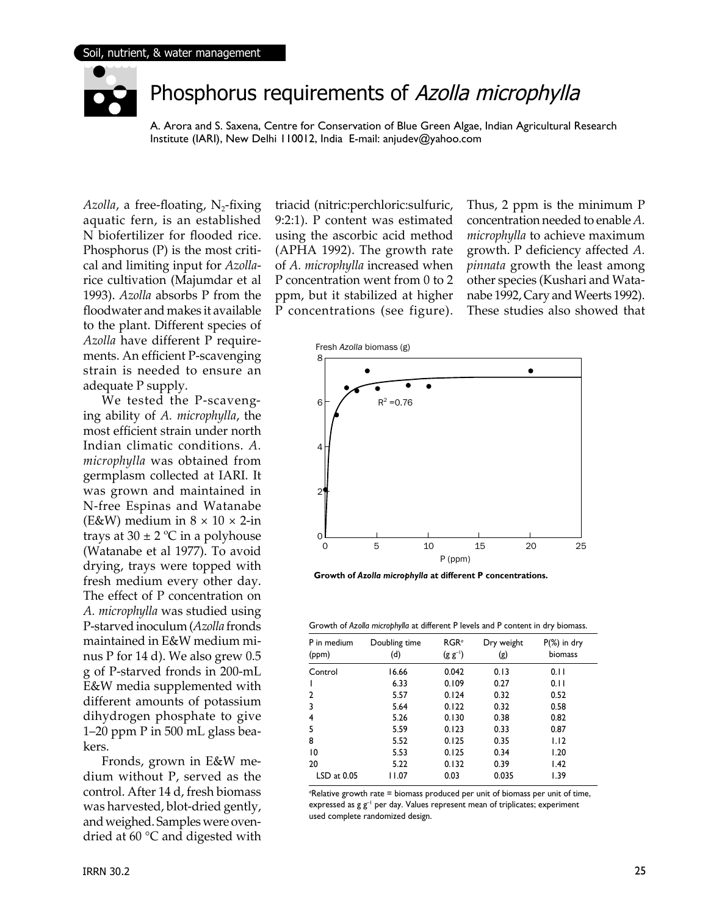

### Phosphorus requirements of Azolla microphylla

A. Arora and S. Saxena, Centre for Conservation of Blue Green Algae, Indian Agricultural Research Institute (IARI), New Delhi 110012, India E-mail: anjudev@yahoo.com

*Azolla*, a free-floating,  $N_2$ -fixing aquatic fern, is an established N biofertilizer for flooded rice. Phosphorus (P) is the most critical and limiting input for *Azolla*rice cultivation (Majumdar et al 1993). *Azolla* absorbs P from the floodwater and makes it available to the plant. Different species of *Azolla* have different P requirements. An efficient P-scavenging strain is needed to ensure an adequate P supply.

 We tested the P-scavenging ability of *A. microphylla*, the most efficient strain under north Indian climatic conditions. *A. microphylla* was obtained from germplasm collected at IARI. It was grown and maintained in N-free Espinas and Watanabe (E&W) medium in  $8 \times 10 \times 2$ -in trays at  $30 \pm 2$  °C in a polyhouse (Watanabe et al 1977). To avoid drying, trays were topped with fresh medium every other day. The effect of P concentration on *A. microphylla* was studied using P-starved inoculum (*Azolla* fronds maintained in E&W medium minus P for 14 d). We also grew 0.5 g of P-starved fronds in 200-mL E&W media supplemented with different amounts of potassium dihydrogen phosphate to give 1–20 ppm P in 500 mL glass beakers.

 Fronds, grown in E&W medium without P, served as the control. After 14 d, fresh biomass was harvested, blot-dried gently, and weighed. Samples were ovendried at 60 °C and digested with

triacid (nitric:perchloric:sulfuric, 9:2:1). P content was estimated using the ascorbic acid method (APHA 1992). The growth rate of *A. microphylla* increased when P concentration went from 0 to 2 ppm, but it stabilized at higher P concentrations (see figure). Thus, 2 ppm is the minimum P concentration needed to enable *A. microphylla* to achieve maximum growth. P deficiency affected *A. pinnata* growth the least among other species (Kushari and Watanabe 1992, Cary and Weerts 1992). These studies also showed that



**Growth of** *Azolla microphylla* **at different P concentrations.**

Growth of *Azolla microphylla* at different P levels and P content in dry biomass.

| P in medium<br>(ppm) | Doubling time<br>(d) | RGR <sup>a</sup><br>$(g g^{-1})$ | Dry weight<br>(g) | $P(\%)$ in dry<br>biomass |
|----------------------|----------------------|----------------------------------|-------------------|---------------------------|
| Control              | 16.66                | 0.042                            | 0.13              | 0.11                      |
|                      | 6.33                 | 0.109                            | 0.27              | 0.11                      |
| 2                    | 5.57                 | 0.124                            | 0.32              | 0.52                      |
| 3                    | 5.64                 | 0.122                            | 0.32              | 0.58                      |
| 4                    | 5.26                 | 0.130                            | 0.38              | 0.82                      |
| 5                    | 5.59                 | 0.123                            | 0.33              | 0.87                      |
| 8                    | 5.52                 | 0.125                            | 0.35              | 1.12                      |
| 10                   | 5.53                 | 0.125                            | 0.34              | 1.20                      |
| 20                   | 5.22                 | 0.132                            | 0.39              | 1.42                      |
| $LSD$ at $0.05$      | 11.07                | 0.03                             | 0.035             | 1.39                      |

*a* Relative growth rate = biomass produced per unit of biomass per unit of time, expressed as  $g g^{-1}$  per day. Values represent mean of triplicates; experiment used complete randomized design.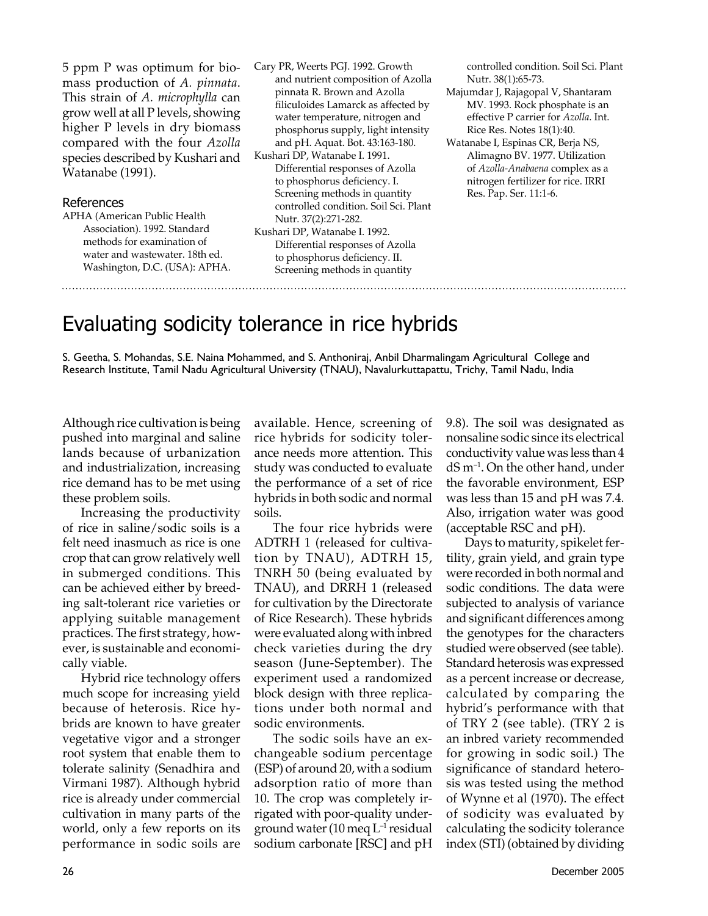5 ppm P was optimum for biomass production of *A. pinnata*. This strain of *A. microphylla* can grow well at all P levels, showing higher P levels in dry biomass compared with the four *Azolla* species described by Kushari and Watanabe (1991).

#### References

APHA (American Public Health Association). 1992. Standard methods for examination of water and wastewater. 18th ed. Washington, D.C. (USA): APHA. Cary PR, Weerts PGJ. 1992. Growth and nutrient composition of Azolla pinnata R. Brown and Azolla filiculoides Lamarck as affected by water temperature, nitrogen and phosphorus supply, light intensity and pH. Aquat. Bot. 43:163-180. Kushari DP, Watanabe I. 1991.

Differential responses of Azolla to phosphorus deficiency. I. Screening methods in quantity controlled condition. Soil Sci. Plant Nutr. 37(2):271-282.

Kushari DP, Watanabe I. 1992. Differential responses of Azolla to phosphorus deficiency. II. Screening methods in quantity

controlled condition. Soil Sci. Plant Nutr. 38(1):65-73.

Majumdar J, Rajagopal V, Shantaram MV. 1993. Rock phosphate is an effective P carrier for *Azolla*. Int. Rice Res. Notes 18(1):40.

Watanabe I, Espinas CR, Berja NS, Alimagno BV. 1977. Utilization of *Azolla-Anabaena* complex as a nitrogen fertilizer for rice. IRRI Res. Pap. Ser. 11:1-6.

## Evaluating sodicity tolerance in rice hybrids

S. Geetha, S. Mohandas, S.E. Naina Mohammed, and S. Anthoniraj, Anbil Dharmalingam Agricultural College and Research Institute, Tamil Nadu Agricultural University (TNAU), Navalurkuttapattu, Trichy, Tamil Nadu, India

Although rice cultivation is being pushed into marginal and saline lands because of urbanization and industrialization, increasing rice demand has to be met using these problem soils.

 Increasing the productivity of rice in saline/sodic soils is a felt need inasmuch as rice is one crop that can grow relatively well in submerged conditions. This can be achieved either by breeding salt-tolerant rice varieties or applying suitable management practices. The first strategy, however, is sustainable and economically viable.

 Hybrid rice technology offers much scope for increasing yield because of heterosis. Rice hybrids are known to have greater vegetative vigor and a stronger root system that enable them to tolerate salinity (Senadhira and Virmani 1987). Although hybrid rice is already under commercial cultivation in many parts of the world, only a few reports on its performance in sodic soils are

available. Hence, screening of rice hybrids for sodicity tolerance needs more attention. This study was conducted to evaluate the performance of a set of rice hybrids in both sodic and normal soils.

 The four rice hybrids were ADTRH 1 (released for cultivation by TNAU), ADTRH 15, TNRH 50 (being evaluated by TNAU), and DRRH 1 (released for cultivation by the Directorate of Rice Research). These hybrids were evaluated along with inbred check varieties during the dry season (June-September). The experiment used a randomized block design with three replications under both normal and sodic environments.

 The sodic soils have an exchangeable sodium percentage (ESP) of around 20, with a sodium adsorption ratio of more than 10. The crop was completely irrigated with poor-quality underground water  $(10 \text{ meq } L^{-1}$  residual sodium carbonate [RSC] and pH 9.8). The soil was designated as nonsaline sodic since its electrical conductivity value was less than 4 dS m–1. On the other hand, under the favorable environment, ESP was less than 15 and pH was 7.4. Also, irrigation water was good (acceptable RSC and pH).

 Days to maturity, spikelet fertility, grain yield, and grain type were recorded in both normal and sodic conditions. The data were subjected to analysis of variance and significant differences among the genotypes for the characters studied were observed (see table). Standard heterosis was expressed as a percent increase or decrease, calculated by comparing the hybrid's performance with that of TRY 2 (see table). (TRY 2 is an inbred variety recommended for growing in sodic soil.) The significance of standard heterosis was tested using the method of Wynne et al (1970). The effect of sodicity was evaluated by calculating the sodicity tolerance index (STI) (obtained by dividing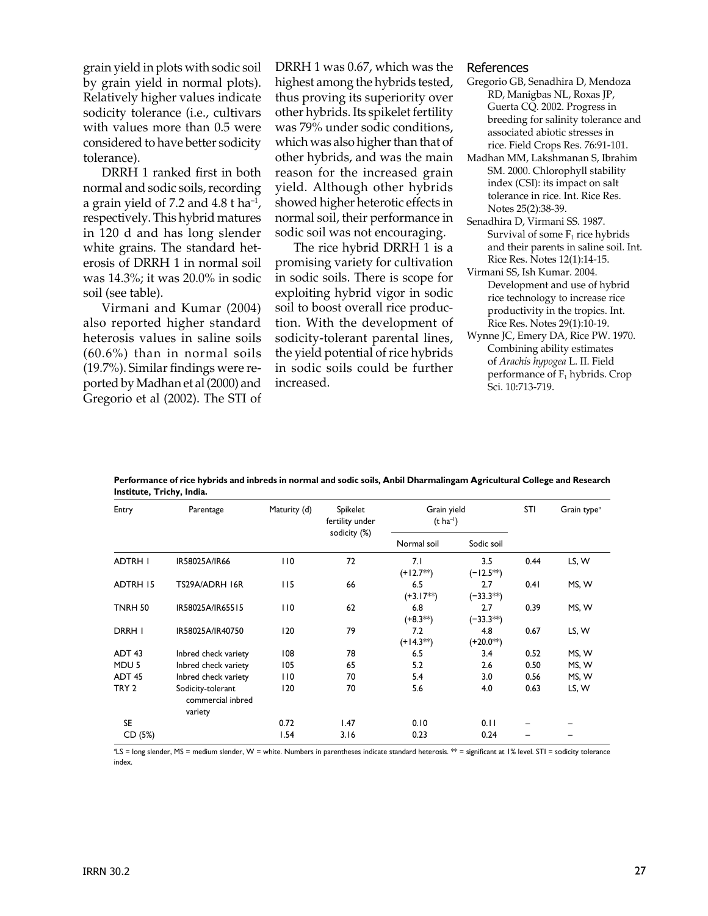grain yield in plots with sodic soil by grain yield in normal plots). Relatively higher values indicate sodicity tolerance (i.e., cultivars with values more than 0.5 were considered to have better sodicity tolerance).

 DRRH 1 ranked first in both normal and sodic soils, recording a grain yield of 7.2 and 4.8 t ha–1, respectively. This hybrid matures in 120 d and has long slender white grains. The standard heterosis of DRRH 1 in normal soil was 14.3%; it was 20.0% in sodic soil (see table).

 Virmani and Kumar (2004) also reported higher standard heterosis values in saline soils (60.6%) than in normal soils (19.7%). Similar findings were reported by Madhan et al (2000) and Gregorio et al (2002). The STI of

DRRH 1 was 0.67, which was the highest among the hybrids tested, thus proving its superiority over other hybrids. Its spikelet fertility was 79% under sodic conditions, which was also higher than that of other hybrids, and was the main reason for the increased grain yield. Although other hybrids showed higher heterotic effects in normal soil, their performance in sodic soil was not encouraging.

 The rice hybrid DRRH 1 is a promising variety for cultivation in sodic soils. There is scope for exploiting hybrid vigor in sodic soil to boost overall rice production. With the development of sodicity-tolerant parental lines, the yield potential of rice hybrids in sodic soils could be further increased.

#### References

- Gregorio GB, Senadhira D, Mendoza RD, Manigbas NL, Roxas JP, Guerta CQ. 2002. Progress in breeding for salinity tolerance and associated abiotic stresses in rice. Field Crops Res. 76:91-101.
- Madhan MM, Lakshmanan S, Ibrahim SM. 2000. Chlorophyll stability index (CSI): its impact on salt tolerance in rice. Int. Rice Res. Notes 25(2):38-39.
- Senadhira D, Virmani SS. 1987. Survival of some  $F_1$  rice hybrids and their parents in saline soil. Int. Rice Res. Notes 12(1):14-15.
- Virmani SS, Ish Kumar. 2004. Development and use of hybrid rice technology to increase rice productivity in the tropics. Int. Rice Res. Notes 29(1):10-19.
- Wynne JC, Emery DA, Rice PW. 1970. Combining ability estimates of *Arachis hypogea* L. II. Field performance of  $F_1$  hybrids. Crop Sci. 10:713-719.

**Performance of rice hybrids and inbreds in normal and sodic soils, Anbil Dharmalingam Agricultural College and Research Institute, Trichy, India.**

| Entry             | Parentage                                         | Maturity (d) | Spikelet<br>fertility under<br>sodicity (%) | Grain yield<br>$(t \text{ ha}^{-1})$ |                       | <b>STI</b> | Grain type <sup>®</sup> |
|-------------------|---------------------------------------------------|--------------|---------------------------------------------|--------------------------------------|-----------------------|------------|-------------------------|
|                   |                                                   |              |                                             | Normal soil                          | Sodic soil            |            |                         |
| ADTRH I           | IR58025A/IR66                                     | 110          | 72                                          | 7.1<br>$(+12.7**)$                   | 3.5<br>$(-12.5**)$    | 0.44       | LS, W                   |
| <b>ADTRH 15</b>   | TS29A/ADRH 16R                                    | 115          | 66                                          | 6.5<br>$(+3.17**)$                   | 2.7<br>$(-33.3**)$    | 0.41       | MS, W                   |
| <b>TNRH 50</b>    | IR58025A/IR65515                                  | 110          | 62                                          | 6.8<br>$(+8.3**)$                    | 2.7<br>$(-33.3^{**})$ | 0.39       | MS, W                   |
| DRRH I            | IR58025A/IR40750                                  | 120          | 79                                          | 7.2<br>$(+14.3**)$                   | 4.8<br>$(+20.0^{**})$ | 0.67       | LS, W                   |
| ADT <sub>43</sub> | Inbred check variety                              | 108          | 78                                          | 6.5                                  | 3.4                   | 0.52       | MS, W                   |
| MDU <sub>5</sub>  | Inbred check variety                              | 105          | 65                                          | 5.2                                  | 2.6                   | 0.50       | MS, W                   |
| ADT <sub>45</sub> | Inbred check variety                              | 110          | 70                                          | 5.4                                  | 3.0                   | 0.56       | MS, W                   |
| TRY <sub>2</sub>  | Sodicity-tolerant<br>commercial inbred<br>variety | 120          | 70                                          | 5.6                                  | 4.0                   | 0.63       | LS, W                   |
| <b>SE</b>         |                                                   | 0.72         | 1.47                                        | 0.10                                 | 0.11                  |            |                         |
| CD (5%)           |                                                   | 1.54         | 3.16                                        | 0.23                                 | 0.24                  |            |                         |

*a* LS = long slender, MS = medium slender, W = white. Numbers in parentheses indicate standard heterosis. \*\* = significant at 1% level. STI = sodicity tolerance index.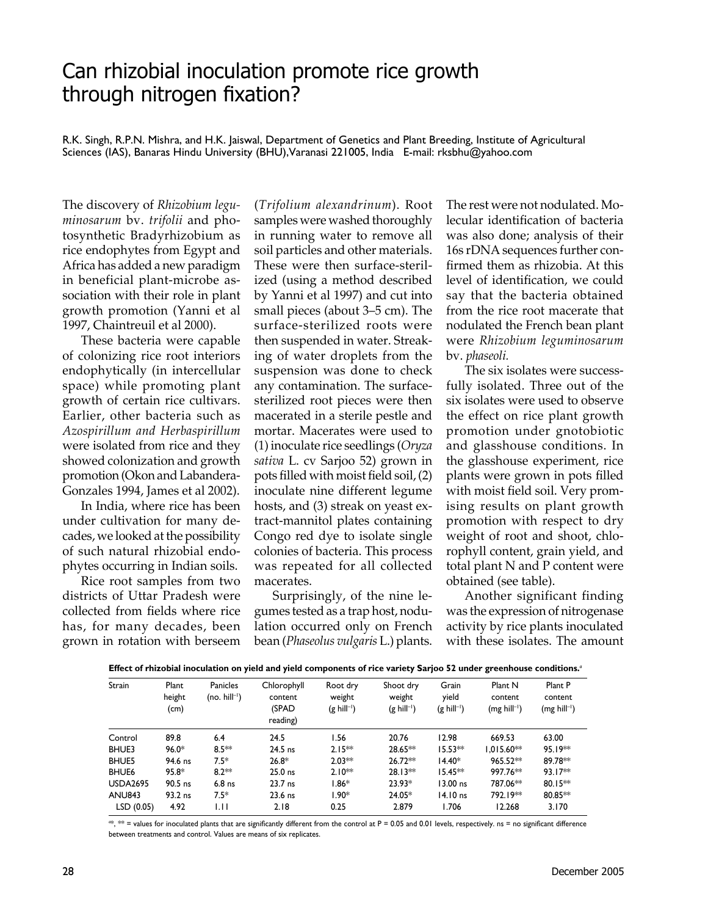### Can rhizobial inoculation promote rice growth through nitrogen fixation?

R.K. Singh, R.P.N. Mishra, and H.K. Jaiswal, Department of Genetics and Plant Breeding, Institute of Agricultural Sciences (IAS), Banaras Hindu University (BHU),Varanasi 221005, India E-mail: rksbhu@yahoo.com

The discovery of *Rhizobium leguminosarum* bv. *trifolii* and photosynthetic Bradyrhizobium as rice endophytes from Egypt and Africa has added a new paradigm in beneficial plant-microbe association with their role in plant growth promotion (Yanni et al 1997, Chaintreuil et al 2000).

 These bacteria were capable of colonizing rice root interiors endophytically (in intercellular space) while promoting plant growth of certain rice cultivars. Earlier, other bacteria such as *Azospirillum and Herbaspirillum*  were isolated from rice and they showed colonization and growth promotion (Okon and Labandera-Gonzales 1994, James et al 2002).

 In India, where rice has been under cultivation for many decades, we looked at the possibility of such natural rhizobial endophytes occurring in Indian soils.

 Rice root samples from two districts of Uttar Pradesh were collected from fields where rice has, for many decades, been grown in rotation with berseem

(*Trifolium alexandrinum*). Root samples were washed thoroughly in running water to remove all soil particles and other materials. These were then surface-sterilized (using a method described by Yanni et al 1997) and cut into small pieces (about 3–5 cm). The surface-sterilized roots were then suspended in water. Streaking of water droplets from the suspension was done to check any contamination. The surfacesterilized root pieces were then macerated in a sterile pestle and mortar. Macerates were used to (1) inoculate rice seedlings (*Oryza sativa* L. cv Sarjoo 52) grown in pots filled with moist field soil, (2) inoculate nine different legume hosts, and (3) streak on yeast extract-mannitol plates containing Congo red dye to isolate single colonies of bacteria. This process was repeated for all collected macerates.

 Surprisingly, of the nine legumes tested as a trap host, nodulation occurred only on French bean (*Phaseolus vulgaris* L.) plants. The rest were not nodulated. Molecular identification of bacteria was also done; analysis of their 16s rDNA sequences further confirmed them as rhizobia. At this level of identification, we could say that the bacteria obtained from the rice root macerate that nodulated the French bean plant were *Rhizobium leguminosarum*  bv. *phaseoli.*

 The six isolates were successfully isolated. Three out of the six isolates were used to observe the effect on rice plant growth promotion under gnotobiotic and glasshouse conditions. In the glasshouse experiment, rice plants were grown in pots filled with moist field soil. Very promising results on plant growth promotion with respect to dry weight of root and shoot, chlorophyll content, grain yield, and total plant N and P content were obtained (see table).

 Another significant finding was the expression of nitrogenase activity by rice plants inoculated with these isolates. The amount

| <b>Strain</b>   | Plant<br>height<br>(cm) | Panicles<br>(no. $hill^{-1}$ ) | Chlorophyll<br>content<br>(SPAD<br>reading) | Root dry<br>weight<br>$(g\text{ hill}^{-1})$ | Shoot dry<br>weight<br>$(g\text{ hill}^{-1})$ | Grain<br>yield<br>$(g\text{ hill}^{-1})$ | Plant N<br>content<br>$(mg\text{ hill}^{-1})$ | Plant P<br>content<br>$(mg$ hill <sup>-1</sup> ) |
|-----------------|-------------------------|--------------------------------|---------------------------------------------|----------------------------------------------|-----------------------------------------------|------------------------------------------|-----------------------------------------------|--------------------------------------------------|
| Control         | 89.8                    | 6.4                            | 24.5                                        | 1.56                                         | 20.76                                         | 12.98                                    | 669.53                                        | 63.00                                            |
| BHUE3           | $96.0*$                 | $8.5**$                        | $24.5$ ns                                   | $2.15**$                                     | 28.65**                                       | $15.53**$                                | $1.015.60**$                                  | 95.19**                                          |
| <b>BHUE5</b>    | 94.6 ns                 | $7.5*$                         | $26.8*$                                     | $2.03**$                                     | $26.72**$                                     | $14.40*$                                 | $965.52**$                                    | 89.78**                                          |
| <b>BHUE6</b>    | $95.8*$                 | $8.2**$                        | $25.0$ ns                                   | $2.10**$                                     | $28.13**$                                     | $15.45**$                                | 997.76**                                      | 93.17**                                          |
| <b>USDA2695</b> | 90.5 ns                 | $6.8$ ns                       | 23.7 ns                                     | $1.86*$                                      | $23.93*$                                      | 13.00 ns                                 | 787.06**                                      | $80.15**$                                        |
| <b>ANU843</b>   | 93.2 ns                 | $7.5*$                         | $23.6$ ns                                   | $1.90*$                                      | 24.05*                                        | $14.10$ ns                               | 792.19**                                      | 80.85**                                          |
| LSD(0.05)       | 4.92                    | ЫI                             | 2.18                                        | 0.25                                         | 2.879                                         | 1.706                                    | 12.268                                        | 3.170                                            |

**Effect of rhizobial inoculation on yield and yield components of rice variety Sarjoo 52 under greenhouse conditions.***<sup>a</sup>*

*a* \*, \*\* = values for inoculated plants that are significantly different from the control at P = 0.05 and 0.01 levels, respectively. ns = no significant difference between treatments and control. Values are means of six replicates.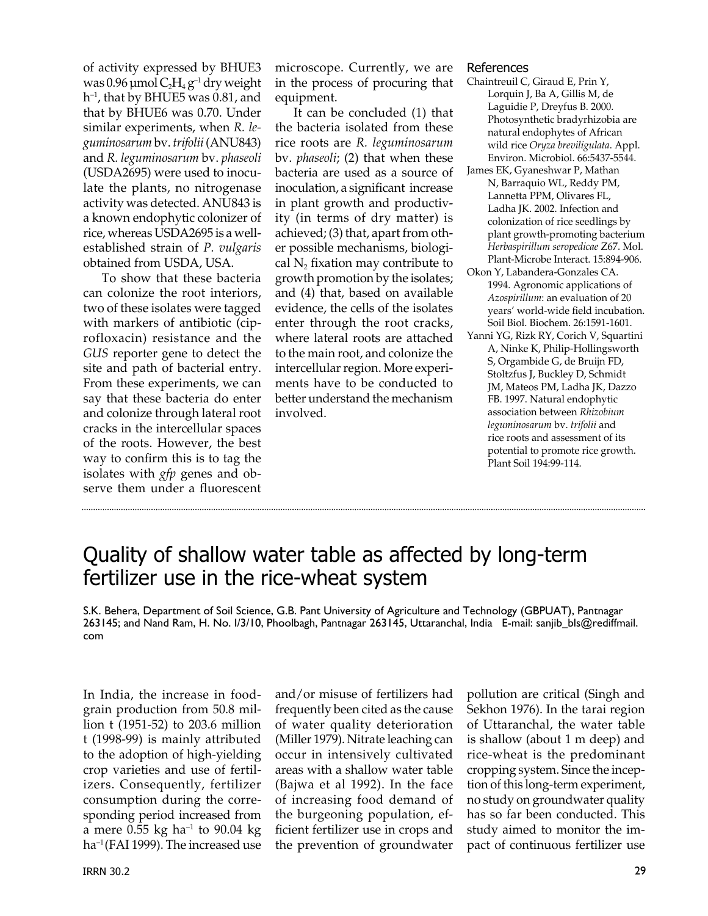of activity expressed by BHUE3 was 0.96  $\mu$ mol C<sub>2</sub>H<sub>4</sub> g<sup>-1</sup> dry weight  $h^{-1}$ , that by BHUE5 was 0.81, and that by BHUE6 was 0.70. Under similar experiments, when *R. leguminosarum* bv. *trifolii* (ANU843) and *R. leguminosarum* bv. *phaseoli* (USDA2695) were used to inoculate the plants, no nitrogenase activity was detected. ANU843 is a known endophytic colonizer of rice, whereas USDA2695 is a wellestablished strain of *P. vulgaris* obtained from USDA, USA.

 To show that these bacteria can colonize the root interiors, two of these isolates were tagged with markers of antibiotic (ciprofloxacin) resistance and the *GUS* reporter gene to detect the site and path of bacterial entry. From these experiments, we can say that these bacteria do enter and colonize through lateral root cracks in the intercellular spaces of the roots. However, the best way to confirm this is to tag the isolates with *gfp* genes and observe them under a fluorescent

microscope. Currently, we are in the process of procuring that equipment.

 It can be concluded (1) that the bacteria isolated from these rice roots are *R. leguminosarum* bv. *phaseoli*; (2) that when these bacteria are used as a source of inoculation, a significant increase in plant growth and productivity (in terms of dry matter) is achieved; (3) that, apart from other possible mechanisms, biological  $N<sub>2</sub>$  fixation may contribute to growth promotion by the isolates; and (4) that, based on available evidence, the cells of the isolates enter through the root cracks, where lateral roots are attached to the main root, and colonize the intercellular region. More experiments have to be conducted to better understand the mechanism involved.

### References

- Chaintreuil C, Giraud E, Prin Y, Lorquin J, Ba A, Gillis M, de Laguidie P, Dreyfus B. 2000. Photosynthetic bradyrhizobia are natural endophytes of African wild rice *Oryza breviligulata*. Appl. Environ. Microbiol. 66:5437-5544.
- James EK, Gyaneshwar P, Mathan N, Barraquio WL, Reddy PM, Lannetta PPM, Olivares FL, Ladha JK. 2002. Infection and colonization of rice seedlings by plant growth-promoting bacterium *Herbaspirillum seropedicae* Z67. Mol. Plant-Microbe Interact. 15:894-906.
- Okon Y, Labandera-Gonzales CA. 1994. Agronomic applications of *Azospirillum*: an evaluation of 20 years' world-wide field incubation. Soil Biol. Biochem. 26:1591-1601.
- Yanni YG, Rizk RY, Corich V, Squartini A, Ninke K, Philip-Hollingsworth S, Orgambide G, de Bruijn FD, Stoltzfus J, Buckley D, Schmidt JM, Mateos PM, Ladha JK, Dazzo FB. 1997. Natural endophytic association between *Rhizobium leguminosarum* bv. *trifolii* and rice roots and assessment of its potential to promote rice growth. Plant Soil 194:99-114.

## Quality of shallow water table as affected by long-term fertilizer use in the rice-wheat system

S.K. Behera, Department of Soil Science, G.B. Pant University of Agriculture and Technology (GBPUAT), Pantnagar 263145; and Nand Ram, H. No. I/3/10, Phoolbagh, Pantnagar 263145, Uttaranchal, India E-mail: sanjib\_bls@rediffmail. com

In India, the increase in foodgrain production from 50.8 million t (1951-52) to 203.6 million t (1998-99) is mainly attributed to the adoption of high-yielding crop varieties and use of fertilizers. Consequently, fertilizer consumption during the corresponding period increased from a mere  $0.55$  kg ha<sup>-1</sup> to  $90.04$  kg ha<sup>-1</sup> (FAI 1999). The increased use

and/or misuse of fertilizers had frequently been cited as the cause of water quality deterioration (Miller 1979). Nitrate leaching can occur in intensively cultivated areas with a shallow water table (Bajwa et al 1992). In the face of increasing food demand of the burgeoning population, efficient fertilizer use in crops and the prevention of groundwater

pollution are critical (Singh and Sekhon 1976). In the tarai region of Uttaranchal, the water table is shallow (about 1 m deep) and rice-wheat is the predominant cropping system. Since the inception of this long-term experiment, no study on groundwater quality has so far been conducted. This study aimed to monitor the impact of continuous fertilizer use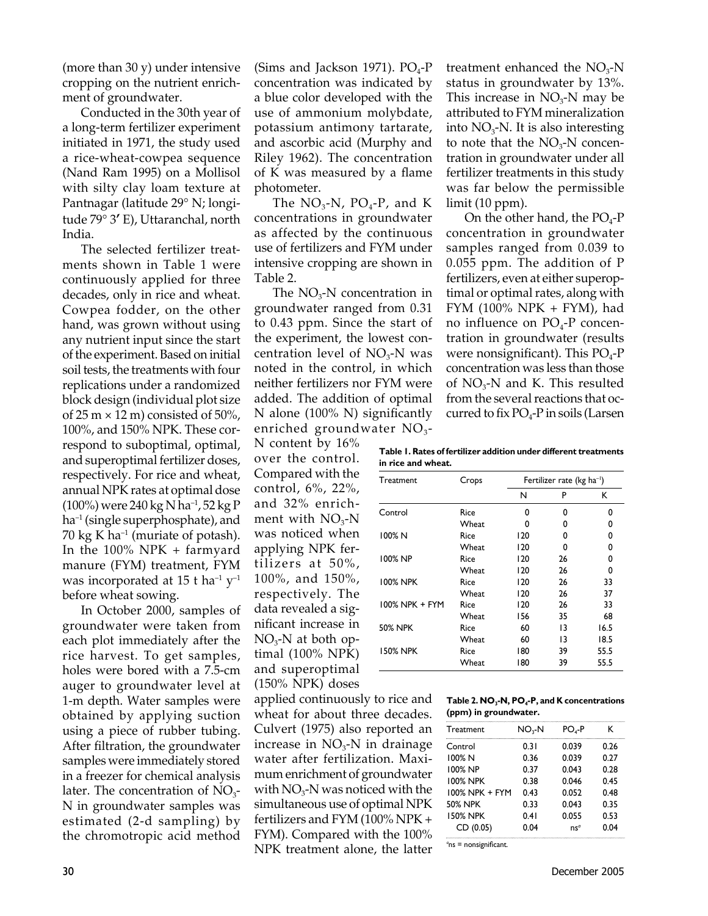(more than 30 y) under intensive cropping on the nutrient enrichment of groundwater.

 Conducted in the 30th year of a long-term fertilizer experiment initiated in 1971, the study used a rice-wheat-cowpea sequence (Nand Ram 1995) on a Mollisol with silty clay loam texture at Pantnagar (latitude 29° N; longitude 79° 3**'** E), Uttaranchal, north India.

 The selected fertilizer treatments shown in Table 1 were continuously applied for three decades, only in rice and wheat. Cowpea fodder, on the other hand, was grown without using any nutrient input since the start of the experiment. Based on initial soil tests, the treatments with four replications under a randomized block design (individual plot size of 25 m  $\times$  12 m) consisted of 50%, 100%, and 150% NPK. These correspond to suboptimal, optimal, and superoptimal fertilizer doses, respectively. For rice and wheat, annual NPK rates at optimal dose (100%) were 240 kg N ha–1, 52 kg P ha<sup>-1</sup> (single superphosphate), and 70 kg K ha<sup>-1</sup> (muriate of potash). In the 100% NPK + farmyard manure (FYM) treatment, FYM was incorporated at 15 t ha<sup>-1</sup>  $y$ <sup>-1</sup> before wheat sowing.

 In October 2000, samples of groundwater were taken from each plot immediately after the rice harvest. To get samples, holes were bored with a 7.5-cm auger to groundwater level at 1-m depth. Water samples were obtained by applying suction using a piece of rubber tubing. After filtration, the groundwater samples were immediately stored in a freezer for chemical analysis later. The concentration of  $NO<sub>3</sub>$ -N in groundwater samples was estimated (2-d sampling) by the chromotropic acid method

(Sims and Jackson 1971).  $PO_4$ -P concentration was indicated by a blue color developed with the use of ammonium molybdate, potassium antimony tartarate, and ascorbic acid (Murphy and Riley 1962). The concentration of K was measured by a flame photometer.

The  $NO<sub>3</sub>-N$ ,  $PO<sub>4</sub>-P$ , and K concentrations in groundwater as affected by the continuous use of fertilizers and FYM under intensive cropping are shown in Table 2.

The  $NO<sub>3</sub>-N$  concentration in groundwater ranged from 0.31 to 0.43 ppm. Since the start of the experiment, the lowest concentration level of  $NO<sub>3</sub>$ -N was noted in the control, in which neither fertilizers nor FYM were added. The addition of optimal N alone (100% N) significantly enriched groundwater  $NO<sub>3</sub>$ -

N content by 16% over the control. Compared with the control, 6%, 22%, and 32% enrichment with  $NO<sub>3</sub>$ -N was noticed when applying NPK fertilizers at 50%, 100%, and 150%, respectively. The data revealed a significant increase in  $NO<sub>3</sub>-N$  at both optimal (100% NPK) and superoptimal (150% NPK) doses

applied continuously to rice and wheat for about three decades. Culvert (1975) also reported an increase in  $NO<sub>3</sub>-N$  in drainage water after fertilization. Maximum enrichment of groundwater with  $NO<sub>3</sub>$ -N was noticed with the simultaneous use of optimal NPK fertilizers and FYM (100% NPK + FYM). Compared with the 100% NPK treatment alone, the latter treatment enhanced the  $NO<sub>3</sub>$ -N status in groundwater by 13%. This increase in  $NO<sub>3</sub>-N$  may be attributed to FYM mineralization into  $NO<sub>3</sub>$ -N. It is also interesting to note that the  $NO<sub>3</sub>-N$  concentration in groundwater under all fertilizer treatments in this study was far below the permissible limit (10 ppm).

On the other hand, the  $PO_4$ -P concentration in groundwater samples ranged from 0.039 to 0.055 ppm. The addition of P fertilizers, even at either superoptimal or optimal rates, along with  $FYM$  (100%  $NPK + FYM$ ), had no influence on  $PO<sub>4</sub>$ -P concentration in groundwater (results were nonsignificant). This  $PO_4-P$ concentration was less than those of  $NO_3$ -N and K. This resulted from the several reactions that occurred to fix  $PO_4$ -P in soils (Larsen

**Table 1. Rates of fertilizer addition under different treatments in rice and wheat.**

| Treatment       | Crops | Fertilizer rate ( $kg$ ha <sup>-1</sup> ) |    |      |  |
|-----------------|-------|-------------------------------------------|----|------|--|
|                 |       | N                                         | P  | ĸ    |  |
| Control         | Rice  | 0                                         | 0  | 0    |  |
|                 | Wheat | O                                         | 0  | 0    |  |
| 100% N          | Rice  | 120                                       | 0  | 0    |  |
|                 | Wheat | 120                                       | 0  | 0    |  |
| 100% NP         | Rice  | 120                                       | 26 | 0    |  |
|                 | Wheat | 120                                       | 26 | 0    |  |
| <b>100% NPK</b> | Rice  | 120                                       | 26 | 33   |  |
|                 | Wheat | 120                                       | 26 | 37   |  |
| 100% NPK + FYM  | Rice  | 120                                       | 26 | 33   |  |
|                 | Wheat | 156                                       | 35 | 68   |  |
| <b>50% NPK</b>  | Rice  | 60                                        | 13 | 16.5 |  |
|                 | Wheat | 60                                        | 13 | 18.5 |  |
| <b>150% NPK</b> | Rice  | 180                                       | 39 | 55.5 |  |
|                 | Wheat | 180                                       | 39 | 55.5 |  |

| Table 2. NO <sub>3</sub> -N, PO <sub>4</sub> -P, and K concentrations |
|-----------------------------------------------------------------------|
| (ppm) in groundwater.                                                 |

| <b>Treatment</b> | NO <sub>2</sub> -N | $POa-P$ | ĸ    |
|------------------|--------------------|---------|------|
| Control          | 0.31               | 0.039   | 0.26 |
| 100% N           | 0.36               | 0.039   | 0.27 |
| 100% NP          | 0.37               | 0.043   | 0.28 |
| <b>100% NPK</b>  | 0.38               | 0.046   | 0.45 |
| 100% NPK + FYM   | 0.43               | 0.052   | 0.48 |
| <b>50% NPK</b>   | 0.33               | 0.043   | 0.35 |
| <b>150% NPK</b>  | 0.41               | 0.055   | 0.53 |
| CD (0.05)        | 0.04               | $ns^a$  | 0.04 |

*a* ns = nonsignificant.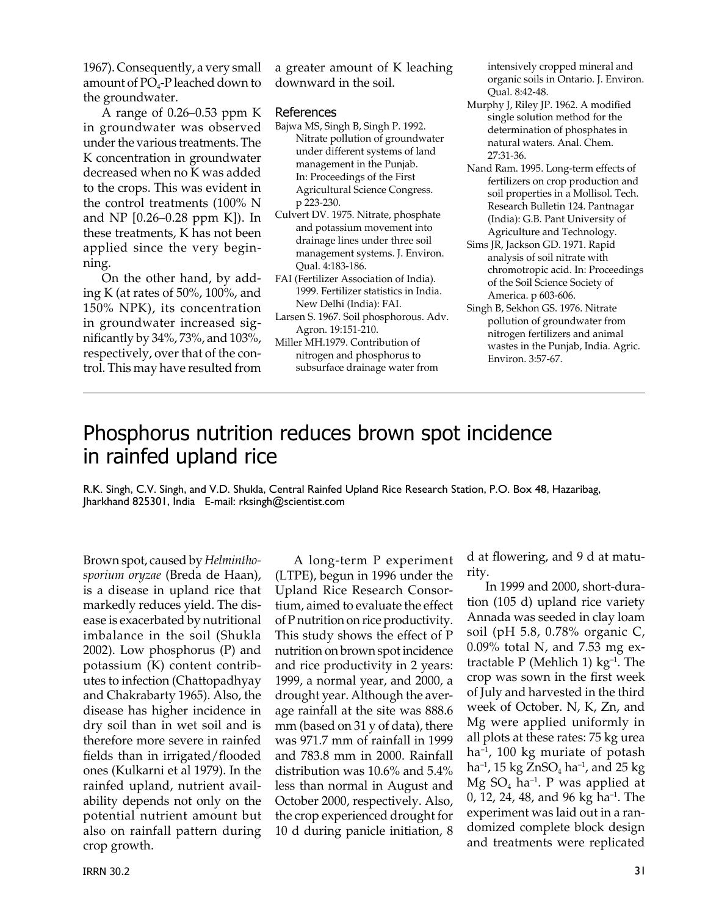1967). Consequently, a very small amount of  $PO_4$ -P leached down to the groundwater.

 A range of 0.26–0.53 ppm K in groundwater was observed under the various treatments. The K concentration in groundwater decreased when no K was added to the crops. This was evident in the control treatments (100% N and NP [0.26–0.28 ppm K]). In these treatments, K has not been applied since the very beginning.

 On the other hand, by adding K (at rates of 50%, 100%, and 150% NPK), its concentration in groundwater increased significantly by 34%, 73%, and 103%, respectively, over that of the control. This may have resulted from

a greater amount of K leaching downward in the soil.

#### References

- Bajwa MS, Singh B, Singh P. 1992. Nitrate pollution of groundwater under different systems of land management in the Punjab. In: Proceedings of the First Agricultural Science Congress. p 223-230.
- Culvert DV. 1975. Nitrate, phosphate and potassium movement into drainage lines under three soil management systems. J. Environ. Qual. 4:183-186.
- FAI (Fertilizer Association of India). 1999. Fertilizer statistics in India. New Delhi (India): FAI.
- Larsen S. 1967. Soil phosphorous. Adv. Agron. 19:151-210.
- Miller MH.1979. Contribution of nitrogen and phosphorus to subsurface drainage water from

intensively cropped mineral and organic soils in Ontario. J. Environ. Qual. 8:42-48.

- Murphy J, Riley JP. 1962. A modified single solution method for the determination of phosphates in natural waters. Anal. Chem. 27:31-36.
- Nand Ram. 1995. Long-term effects of fertilizers on crop production and soil properties in a Mollisol. Tech. Research Bulletin 124. Pantnagar (India): G.B. Pant University of Agriculture and Technology.
- Sims JR, Jackson GD. 1971. Rapid analysis of soil nitrate with chromotropic acid. In: Proceedings of the Soil Science Society of America. p 603-606.
- Singh B, Sekhon GS. 1976. Nitrate pollution of groundwater from nitrogen fertilizers and animal wastes in the Punjab, India. Agric. Environ. 3:57-67.

### Phosphorus nutrition reduces brown spot incidence in rainfed upland rice

R.K. Singh, C.V. Singh, and V.D. Shukla, Central Rainfed Upland Rice Research Station, P.O. Box 48, Hazaribag, Jharkhand 825301, India E-mail: rksingh@scientist.com

Brown spot, caused by *Helminthosporium oryzae* (Breda de Haan), is a disease in upland rice that markedly reduces yield. The disease is exacerbated by nutritional imbalance in the soil (Shukla 2002). Low phosphorus (P) and potassium (K) content contributes to infection (Chattopadhyay and Chakrabarty 1965). Also, the disease has higher incidence in dry soil than in wet soil and is therefore more severe in rainfed fields than in irrigated/flooded ones (Kulkarni et al 1979). In the rainfed upland, nutrient availability depends not only on the potential nutrient amount but also on rainfall pattern during crop growth.

 A long-term P experiment (LTPE), begun in 1996 under the Upland Rice Research Consortium, aimed to evaluate the effect of P nutrition on rice productivity. This study shows the effect of P nutrition on brown spot incidence and rice productivity in 2 years: 1999, a normal year, and 2000, a drought year. Although the average rainfall at the site was 888.6 mm (based on 31 y of data), there was 971.7 mm of rainfall in 1999 and 783.8 mm in 2000. Rainfall distribution was 10.6% and 5.4% less than normal in August and October 2000, respectively. Also, the crop experienced drought for 10 d during panicle initiation, 8

d at flowering, and 9 d at maturity.

 In 1999 and 2000, short-duration (105 d) upland rice variety Annada was seeded in clay loam soil (pH 5.8, 0.78% organic C, 0.09% total N, and 7.53 mg extractable P (Mehlich 1)  $kg^{-1}$ . The crop was sown in the first week of July and harvested in the third week of October. N, K, Zn, and Mg were applied uniformly in all plots at these rates: 75 kg urea ha<sup>-1</sup>, 100 kg muriate of potash  $ha^{-1}$ , 15 kg ZnSO<sub>4</sub> ha<sup>-1</sup>, and 25 kg  $Mg$  SO<sub>4</sub> ha<sup>-1</sup>. P was applied at 0, 12, 24, 48, and 96 kg ha–1. The experiment was laid out in a randomized complete block design and treatments were replicated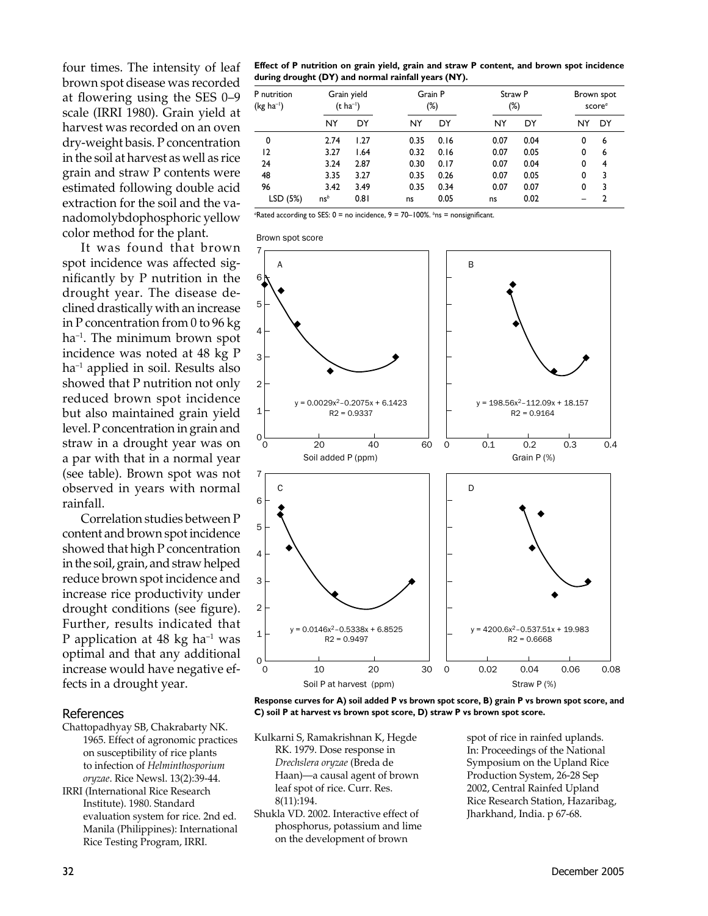four times. The intensity of leaf brown spot disease was recorded at flowering using the SES 0-9 scale (IRRI 1980). Grain yield at harvest was recorded on an oven dry-weight basis. P concentration in the soil at harvest as well as rice grain and straw P contents were estimated following double acid extraction for the soil and the vanadomolybdophosphoric yellow color method for the plant.

It was found that brown spot incidence was affected significantly by P nutrition in the drought year. The disease declined drastically with an increase in P concentration from 0 to 96  $kg$  $ha^{-1}$ . The minimum brown spot incidence was noted at 48 kg P ha<sup>-1</sup> applied in soil. Results also showed that P nutrition not only reduced brown spot incidence but also maintained grain yield level. P concentration in grain and straw in a drought year was on a par with that in a normal year (see table). Brown spot was not observed in years with normal rainfall.

Correlation studies between P content and brown spot incidence showed that high P concentration in the soil, grain, and straw helped reduce brown spot incidence and increase rice productivity under drought conditions (see figure). Further, results indicated that P application at 48 kg ha<sup>-1</sup> was optimal and that any additional increase would have negative effects in a drought year.

#### References

- Chattopadhyay SB, Chakrabarty NK. 1965. Effect of agronomic practices on susceptibility of rice plants to infection of Helminthosporium oryzae. Rice Newsl. 13(2):39-44.
- **IRRI** (International Rice Research Institute). 1980. Standard evaluation system for rice. 2nd ed. Manila (Philippines): International Rice Testing Program, IRRI.

Effect of P nutrition on grain yield, grain and straw P content, and brown spot incidence during drought (DY) and normal rainfall years (NY).

| P nutrition<br>(kg ha <sup>-1</sup> ) |                 | Grain yield<br>$(t \text{ ha}^{-1})$ | Grain P | (%)  | Straw P<br>$(\%)$ |      |    | Brown spot<br>score <sup>a</sup> |
|---------------------------------------|-----------------|--------------------------------------|---------|------|-------------------|------|----|----------------------------------|
|                                       | NY              | DY                                   | NY      | DY   | NY                | DY   | NY | DY                               |
| 0                                     | 2.74            | 1.27                                 | 0.35    | 0.16 | 0.07              | 0.04 | 0  | 6                                |
| 12                                    | 3.27            | 1.64                                 | 0.32    | 0.16 | 0.07              | 0.05 | 0  | 6                                |
| 24                                    | 3.24            | 2.87                                 | 0.30    | 0.17 | 0.07              | 0.04 | 0  | 4                                |
| 48                                    | 3.35            | 3.27                                 | 0.35    | 0.26 | 0.07              | 0.05 | 0  | 3                                |
| 96                                    | 3.42            | 3.49                                 | 0.35    | 0.34 | 0.07              | 0.07 | 0  | 3                                |
| LSD (5%)                              | ns <sup>b</sup> | 0.81                                 | ns      | 0.05 | ns                | 0.02 |    | $\overline{2}$                   |

"Rated according to SES:  $0 =$  no incidence,  $9 = 70 - 100\%$ . <sup>b</sup>ns = nonsignificant.

Brown spot score



Response curves for A) soil added P vs brown spot score, B) grain P vs brown spot score, and C) soil P at harvest vs brown spot score, D) straw P vs brown spot score.

- Kulkarni S, Ramakrishnan K, Hegde RK. 1979. Dose response in Drechslera oryzae (Breda de Haan)—a causal agent of brown leaf spot of rice. Curr. Res. 8(11):194.
- Shukla VD. 2002. Interactive effect of phosphorus, potassium and lime on the development of brown

spot of rice in rainfed uplands. In: Proceedings of the National Symposium on the Upland Rice Production System, 26-28 Sep 2002, Central Rainfed Upland Rice Research Station, Hazaribag, Jharkhand, India. p 67-68.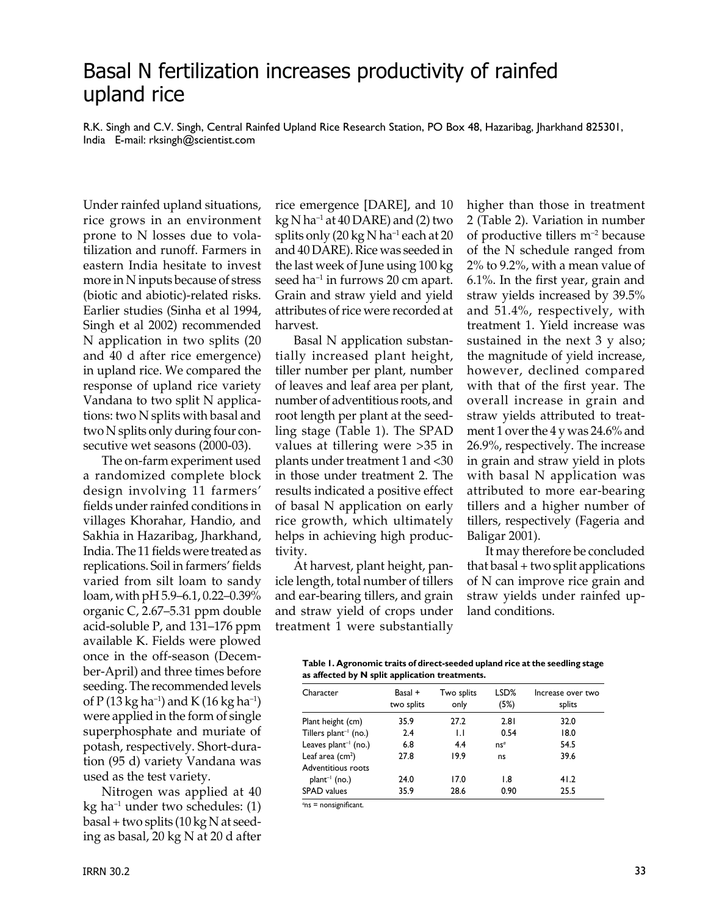### Basal N fertilization increases productivity of rainfed upland rice

R.K. Singh and C.V. Singh, Central Rainfed Upland Rice Research Station, PO Box 48, Hazaribag, Jharkhand 825301, India E-mail: rksingh@scientist.com

Under rainfed upland situations, rice grows in an environment prone to N losses due to volatilization and runoff. Farmers in eastern India hesitate to invest more in N inputs because of stress (biotic and abiotic)-related risks. Earlier studies (Sinha et al 1994, Singh et al 2002) recommended N application in two splits (20 and 40 d after rice emergence) in upland rice. We compared the response of upland rice variety Vandana to two split N applications: two N splits with basal and two N splits only during four consecutive wet seasons (2000-03).

 The on-farm experiment used a randomized complete block design involving 11 farmers' fields under rainfed conditions in villages Khorahar, Handio, and Sakhia in Hazaribag, Jharkhand, India. The 11 fields were treated as replications. Soil in farmers' fields varied from silt loam to sandy loam, with pH 5.9–6.1, 0.22–0.39% organic C, 2.67–5.31 ppm double acid-soluble P, and 131–176 ppm available K. Fields were plowed once in the off-season (December-April) and three times before seeding. The recommended levels of P (13 kg ha<sup>-1</sup>) and K (16 kg ha<sup>-1</sup>) were applied in the form of single superphosphate and muriate of potash, respectively. Short-duration (95 d) variety Vandana was used as the test variety.

 Nitrogen was applied at 40  $kg$  ha<sup>-1</sup> under two schedules: (1) basal + two splits (10 kg N at seeding as basal, 20 kg N at 20 d after rice emergence [DARE], and 10  $kg$  N ha<sup>-1</sup> at 40 DARE) and (2) two splits only  $(20 \text{ kg N} \text{ ha}^{-1})$  each at 20 and 40 DARE). Rice was seeded in the last week of June using 100 kg seed ha<sup>-1</sup> in furrows 20 cm apart. Grain and straw yield and yield attributes of rice were recorded at harvest.

 Basal N application substantially increased plant height, tiller number per plant, number of leaves and leaf area per plant, number of adventitious roots, and root length per plant at the seedling stage (Table 1). The SPAD values at tillering were >35 in plants under treatment 1 and <30 in those under treatment 2. The results indicated a positive effect of basal N application on early rice growth, which ultimately helps in achieving high productivity.

 At harvest, plant height, panicle length, total number of tillers and ear-bearing tillers, and grain and straw yield of crops under treatment 1 were substantially higher than those in treatment 2 (Table 2). Variation in number of productive tillers m–2 because of the N schedule ranged from 2% to 9.2%, with a mean value of 6.1%. In the first year, grain and straw yields increased by 39.5% and 51.4%, respectively, with treatment 1. Yield increase was sustained in the next 3 y also; the magnitude of yield increase, however, declined compared with that of the first year. The overall increase in grain and straw yields attributed to treatment 1 over the 4 y was 24.6% and 26.9%, respectively. The increase in grain and straw yield in plots with basal N application was attributed to more ear-bearing tillers and a higher number of tillers, respectively (Fageria and Baligar 2001).

 It may therefore be concluded that basal + two split applications of N can improve rice grain and straw yields under rainfed upland conditions.

| Table 1. Agronomic traits of direct-seeded upland rice at the seedling stage |
|------------------------------------------------------------------------------|
| as affected by N split application treatments.                               |

| Character                  | Basal +<br>two splits | Two splits<br>only | LSD%<br>(5%)     | Increase over two<br>splits |
|----------------------------|-----------------------|--------------------|------------------|-----------------------------|
| Plant height (cm)          | 35.9                  | 27.2               | 2.81             | 32.0                        |
| Tillers $plant^{-1}$ (no.) | 2.4                   | $\mathsf{L}$       | 0.54             | 18.0                        |
| Leaves $plant^{-1}$ (no.)  | 6.8                   | 4.4                | $ns^a$           | 54.5                        |
| Leaf area $(cm2)$          | 27.8                  | 19.9               | ns               | 39.6                        |
| Adventitious roots         |                       |                    |                  |                             |
| $plant^{-1}$ (no.)         | 24.0                  | 17.0               | $\overline{1.8}$ | 41.2                        |
| <b>SPAD</b> values         | 35.9                  | 28.6               | 0.90             | 25.5                        |

*a* ns = nonsignificant.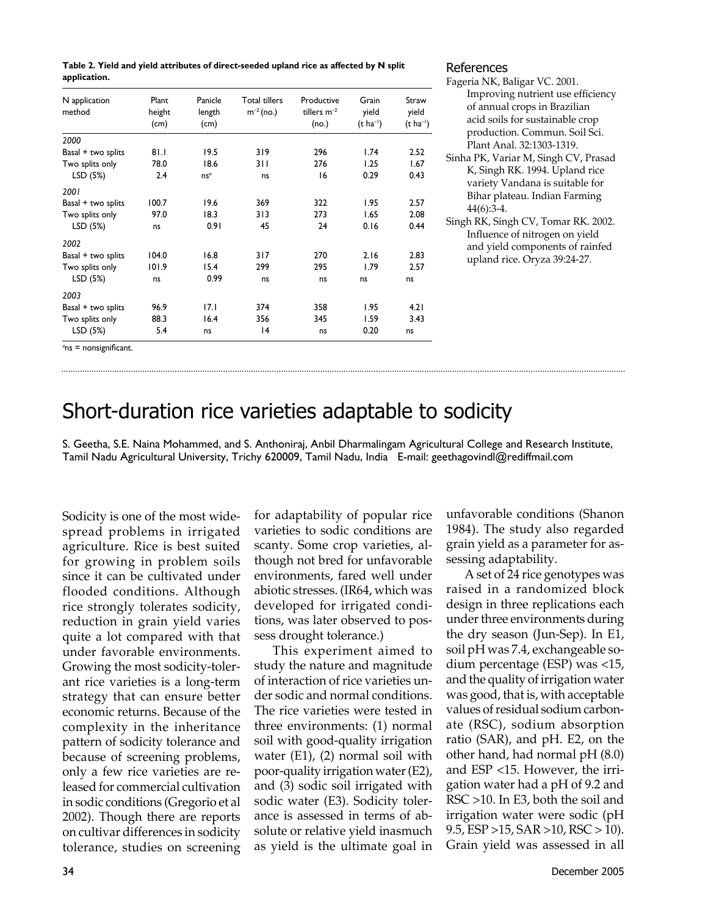| Table 2. Yield and yield attributes of direct-seeded upland rice as affected by N split |
|-----------------------------------------------------------------------------------------|
| application.                                                                            |

| N application<br>method   | Plant<br>height<br>(cm) | Panicle<br>length<br>(cm) | <b>Total tillers</b><br>$m^{-2}$ (no.) | Productive<br>tillers $m^{-2}$<br>(no.) | Grain<br>yield<br>$(t \text{ ha}^{-1})$ | Straw<br>yield<br>$(t \text{ ha}^{-1})$ |
|---------------------------|-------------------------|---------------------------|----------------------------------------|-----------------------------------------|-----------------------------------------|-----------------------------------------|
| 2000                      |                         |                           |                                        |                                         |                                         |                                         |
| Basal + two splits        | 81.1                    | 19.5                      | 319                                    | 296                                     | 1.74                                    | 2.52                                    |
| Two splits only           | 78.0                    | 18.6                      | 3 I I                                  | 276                                     | 1.25                                    | 1.67                                    |
| LSD (5%)                  | 2.4                     | ns <sup>a</sup>           | ns                                     | 16                                      | 0.29                                    | 0.43                                    |
| 2001                      |                         |                           |                                        |                                         |                                         |                                         |
| Basal + two splits        | 100.7                   | 19.6                      | 369                                    | 322                                     | 1.95                                    | 2.57                                    |
| Two splits only           | 97.0                    | 18.3                      | 313                                    | 273                                     | 1.65                                    | 2.08                                    |
| LSD (5%)                  | ns                      | 0.91                      | 45                                     | 24                                      | 0.16                                    | 0.44                                    |
| 2002                      |                         |                           |                                        |                                         |                                         |                                         |
| Basal + two splits        | 104.0                   | 16.8                      | 317                                    | 270                                     | 2.16                                    | 2.83                                    |
| Two splits only           | 101.9                   | 15.4                      | 299                                    | 295                                     | 1.79                                    | 2.57                                    |
| LSD (5%)                  | ns                      | 0.99                      | ns                                     | ns                                      | ns                                      | ns                                      |
| 2003                      |                         |                           |                                        |                                         |                                         |                                         |
| Basal + two splits        | 96.9                    | 17.1                      | 374                                    | 358                                     | 1.95                                    | 4.21                                    |
| Two splits only           | 88.3                    | 16.4                      | 356                                    | 345                                     | 1.59                                    | 3.43                                    |
| LSD (5%)                  | 5.4                     | ns                        | 14                                     | ns                                      | 0.20                                    | ns                                      |
| $q_{nn}$ = noncianificant |                         |                           |                                        |                                         |                                         |                                         |

#### References

Fageria NK, Baligar VC. 2001. Improving nutrient use efficiency of annual crops in Brazilian acid soils for sustainable crop production. Commun. Soil Sci. Plant Anal. 32:1303-1319. Sinha PK, Variar M, Singh CV, Prasad K, Singh RK. 1994. Upland rice variety Vandana is suitable for Bihar plateau. Indian Farming 44(6):3-4. Singh RK, Singh CV, Tomar RK. 2002. Influence of nitrogen on yield and yield components of rainfed upland rice. Oryza 39:24-27.

*a* ns = nonsignificant.

# Short-duration rice varieties adaptable to sodicity

S. Geetha, S.E. Naina Mohammed, and S. Anthoniraj, Anbil Dharmalingam Agricultural College and Research Institute, Tamil Nadu Agricultural University, Trichy 620009, Tamil Nadu, India E-mail: geethagovindl@rediffmail.com

Sodicity is one of the most widespread problems in irrigated agriculture. Rice is best suited for growing in problem soils since it can be cultivated under flooded conditions. Although rice strongly tolerates sodicity, reduction in grain yield varies quite a lot compared with that under favorable environments. Growing the most sodicity-tolerant rice varieties is a long-term strategy that can ensure better economic returns. Because of the complexity in the inheritance pattern of sodicity tolerance and because of screening problems, only a few rice varieties are released for commercial cultivation in sodic conditions (Gregorio et al 2002). Though there are reports on cultivar differences in sodicity tolerance, studies on screening for adaptability of popular rice varieties to sodic conditions are scanty. Some crop varieties, although not bred for unfavorable environments, fared well under abiotic stresses. (IR64, which was developed for irrigated conditions, was later observed to possess drought tolerance.)

 This experiment aimed to study the nature and magnitude of interaction of rice varieties under sodic and normal conditions. The rice varieties were tested in three environments: (1) normal soil with good-quality irrigation water (E1), (2) normal soil with poor-quality irrigation water (E2), and (3) sodic soil irrigated with sodic water (E3). Sodicity tolerance is assessed in terms of absolute or relative yield inasmuch as yield is the ultimate goal in unfavorable conditions (Shanon 1984). The study also regarded grain yield as a parameter for assessing adaptability.

 A set of 24 rice genotypes was raised in a randomized block design in three replications each under three environments during the dry season (Jun-Sep). In E1, soil pH was 7.4, exchangeable sodium percentage (ESP) was <15, and the quality of irrigation water was good, that is, with acceptable values of residual sodium carbonate (RSC), sodium absorption ratio (SAR), and pH. E2, on the other hand, had normal pH (8.0) and ESP <15. However, the irrigation water had a pH of 9.2 and RSC >10. In E3, both the soil and irrigation water were sodic (pH 9.5, ESP >15, SAR >10, RSC > 10). Grain yield was assessed in all